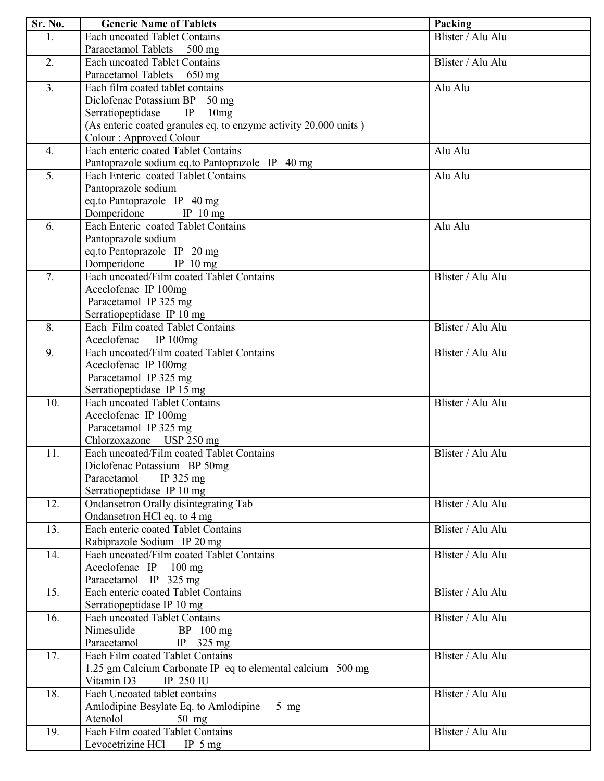| Sr. No.          | <b>Generic Name of Tablets</b>                                   | Packing           |
|------------------|------------------------------------------------------------------|-------------------|
| 1.               | <b>Each uncoated Tablet Contains</b>                             | Blister / Alu Alu |
|                  | Paracetamol Tablets 500 mg                                       |                   |
| 2.               | <b>Each uncoated Tablet Contains</b>                             | Blister / Alu Alu |
|                  | Paracetamol Tablets 650 mg                                       |                   |
| 3 <sub>1</sub>   | Each film coated tablet contains                                 | Alu Alu           |
|                  | Diclofenac Potassium BP 50 mg                                    |                   |
|                  | IP<br>Serratiopeptidase<br>10mg                                  |                   |
|                  | (As enteric coated granules eq. to enzyme activity 20,000 units) |                   |
|                  | Colour: Approved Colour                                          |                   |
| $\overline{4}$ . | Each enteric coated Tablet Contains                              | Alu Alu           |
|                  | Pantoprazole sodium eq.to Pantoprazole IP 40 mg                  |                   |
| 5.               | Each Enteric coated Tablet Contains                              | Alu Alu           |
|                  | Pantoprazole sodium                                              |                   |
|                  | eq.to Pantoprazole IP 40 mg                                      |                   |
|                  | Domperidone IP 10 mg                                             |                   |
| 6.               | Each Enteric coated Tablet Contains                              | Alu Alu           |
|                  | Pantoprazole sodium                                              |                   |
|                  | eq.to Pentoprazole IP 20 mg                                      |                   |
|                  | Domperidone IP 10 mg                                             |                   |
| 7.               | Each uncoated/Film coated Tablet Contains                        | Blister / Alu Alu |
|                  | Aceclofenac IP 100mg                                             |                   |
|                  | Paracetamol IP 325 mg                                            |                   |
|                  | Serratiopeptidase IP 10 mg                                       |                   |
| 8.               | Each Film coated Tablet Contains                                 | Blister / Alu Alu |
|                  | Aceclofenac IP 100mg                                             |                   |
| 9.               | Each uncoated/Film coated Tablet Contains                        | Blister / Alu Alu |
|                  | Aceclofenac IP 100mg                                             |                   |
|                  | Paracetamol IP 325 mg                                            |                   |
|                  | Serratiopeptidase IP 15 mg                                       |                   |
| 10.              | <b>Each uncoated Tablet Contains</b>                             | Blister / Alu Alu |
|                  | Aceclofenac IP 100mg                                             |                   |
|                  | Paracetamol IP 325 mg                                            |                   |
|                  | Chlorzoxazone USP 250 mg                                         |                   |
| 11.              | Each uncoated/Film coated Tablet Contains                        | Blister / Alu Alu |
|                  | Diclofenac Potassium BP 50mg                                     |                   |
|                  | Paracetamol<br>IP $325$ mg                                       |                   |
|                  | Serratiopeptidase IP 10 mg                                       |                   |
| 12.              | Ondansetron Orally disintegrating Tab                            | Blister / Alu Alu |
|                  | Ondansetron HCl eq. to 4 mg                                      |                   |
| 13.              | Each enteric coated Tablet Contains                              | Blister / Alu Alu |
|                  | Rabiprazole Sodium IP 20 mg                                      |                   |
| 14.              | Each uncoated/Film coated Tablet Contains                        | Blister / Alu Alu |
|                  | Aceclofenac IP 100 mg                                            |                   |
|                  | Paracetamol IP 325 mg                                            |                   |
| 15.              | Each enteric coated Tablet Contains                              | Blister / Alu Alu |
|                  | Serratiopeptidase IP 10 mg                                       |                   |
| 16.              | <b>Each uncoated Tablet Contains</b>                             | Blister / Alu Alu |
|                  | Nimesulide<br>$BP$ 100 mg                                        |                   |
|                  | Paracetamol<br>IP $325 \text{ mg}$                               |                   |
| 17.              | Each Film coated Tablet Contains                                 | Blister / Alu Alu |
|                  | 1.25 gm Calcium Carbonate IP eq to elemental calcium 500 mg      |                   |
|                  | Vitamin D3<br>IP 250 IU                                          |                   |
| 18.              | Each Uncoated tablet contains                                    | Blister / Alu Alu |
|                  | Amlodipine Besylate Eq. to Amlodipine<br>$5$ mg                  |                   |
|                  | Atenolol<br>50 mg                                                |                   |
| 19.              | Each Film coated Tablet Contains                                 | Blister / Alu Alu |
|                  | Levocetrizine HCl IP 5 mg                                        |                   |
|                  |                                                                  |                   |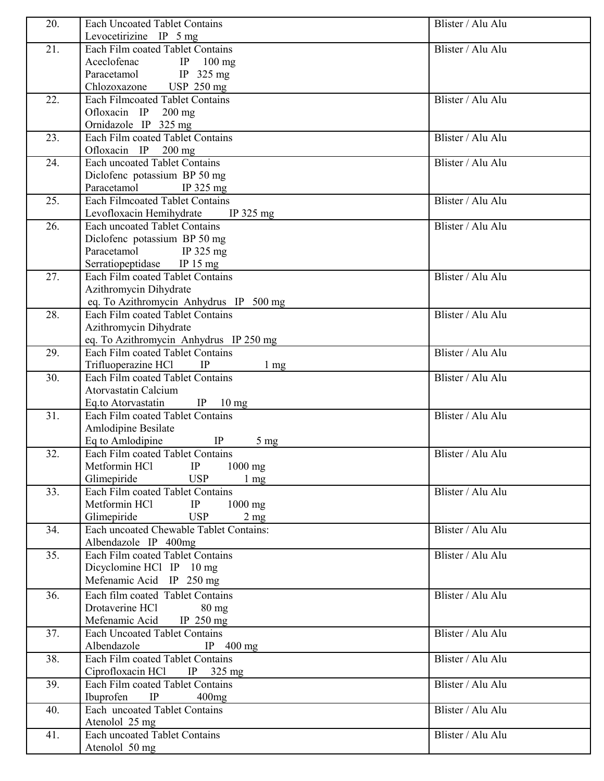| 20. | <b>Each Uncoated Tablet Contains</b>                                         | Blister / Alu Alu |
|-----|------------------------------------------------------------------------------|-------------------|
|     | Levocetirizine IP $5 \text{ mg}$                                             |                   |
| 21. | Each Film coated Tablet Contains                                             | Blister / Alu Alu |
|     | Aceclofenac IP 100 mg                                                        |                   |
|     | Paracetamol IP 325 mg                                                        |                   |
|     | Chlozoxazone USP 250 mg                                                      |                   |
| 22. | <b>Each Filmcoated Tablet Contains</b>                                       | Blister / Alu Alu |
|     | Ofloxacin IP 200 mg                                                          |                   |
|     | Ornidazole IP 325 mg                                                         |                   |
| 23. | Each Film coated Tablet Contains                                             | Blister / Alu Alu |
|     | Ofloxacin IP 200 mg                                                          |                   |
| 24. | <b>Each uncoated Tablet Contains</b>                                         | Blister / Alu Alu |
|     | Diclofenc potassium BP 50 mg                                                 |                   |
|     | Paracetamol<br>IP $325 \text{ mg}$                                           |                   |
| 25. | <b>Each Filmcoated Tablet Contains</b>                                       | Blister / Alu Alu |
|     | Levofloxacin Hemihydrate IP 325 mg                                           |                   |
| 26. | <b>Each uncoated Tablet Contains</b>                                         | Blister / Alu Alu |
|     | Diclofenc potassium BP 50 mg                                                 |                   |
|     | Paracetamol<br>IP $325 \text{ mg}$                                           |                   |
|     | Serratiopeptidase<br>IP $15 \text{ mg}$                                      |                   |
| 27. | Each Film coated Tablet Contains                                             | Blister / Alu Alu |
|     | Azithromycin Dihydrate                                                       |                   |
|     | eq. To Azithromycin Anhydrus IP 500 mg                                       |                   |
| 28. | Each Film coated Tablet Contains                                             | Blister / Alu Alu |
|     | Azithromycin Dihydrate                                                       |                   |
|     | eq. To Azithromycin Anhydrus IP 250 mg                                       |                   |
| 29. | Each Film coated Tablet Contains                                             | Blister / Alu Alu |
| 30. | Trifluoperazine HCl IP<br>$1 \text{ mg}$<br>Each Film coated Tablet Contains | Blister / Alu Alu |
|     | <b>Atorvastatin Calcium</b>                                                  |                   |
|     | Eq.to Atorvastatin<br>IP $10 \text{ mg}$                                     |                   |
| 31. | Each Film coated Tablet Contains                                             | Blister / Alu Alu |
|     | Amlodipine Besilate                                                          |                   |
|     | Eq to Amlodipine<br>IP<br>$5 \text{ mg}$                                     |                   |
| 32. | Each Film coated Tablet Contains                                             | Blister / Alu Alu |
|     | Metformin HCl<br>IP<br>$1000$ mg                                             |                   |
|     | Glimepiride<br><b>USP</b><br>$1 \text{ mg}$                                  |                   |
| 33. | Each Film coated Tablet Contains                                             | Blister / Alu Alu |
|     | Metformin HCl<br>IP<br>$1000$ mg                                             |                   |
|     | Glimepiride<br><b>USP</b><br>$2 \text{ mg}$                                  |                   |
| 34. | Each uncoated Chewable Tablet Contains:                                      | Blister / Alu Alu |
|     | Albendazole IP 400mg                                                         |                   |
| 35. | Each Film coated Tablet Contains                                             | Blister / Alu Alu |
|     | Dicyclomine HCl IP 10 mg                                                     |                   |
|     | Mefenamic Acid IP 250 mg                                                     |                   |
| 36. | Each film coated Tablet Contains                                             | Blister / Alu Alu |
|     | Drotaverine HCl<br>$80 \text{ mg}$                                           |                   |
|     | Mefenamic Acid<br>IP $250 \text{ mg}$                                        |                   |
| 37. | <b>Each Uncoated Tablet Contains</b>                                         | Blister / Alu Alu |
|     | Albendazole<br>IP $400 \text{ mg}$                                           |                   |
| 38. | Each Film coated Tablet Contains                                             | Blister / Alu Alu |
|     | Ciprofloxacin HCl IP 325 mg                                                  |                   |
| 39. | Each Film coated Tablet Contains                                             | Blister / Alu Alu |
|     | IP<br>Ibuprofen<br>400mg                                                     |                   |
| 40. | Each uncoated Tablet Contains                                                | Blister / Alu Alu |
|     | Atenolol 25 mg                                                               |                   |
| 41. | <b>Each uncoated Tablet Contains</b>                                         | Blister / Alu Alu |
|     | Atenolol 50 mg                                                               |                   |